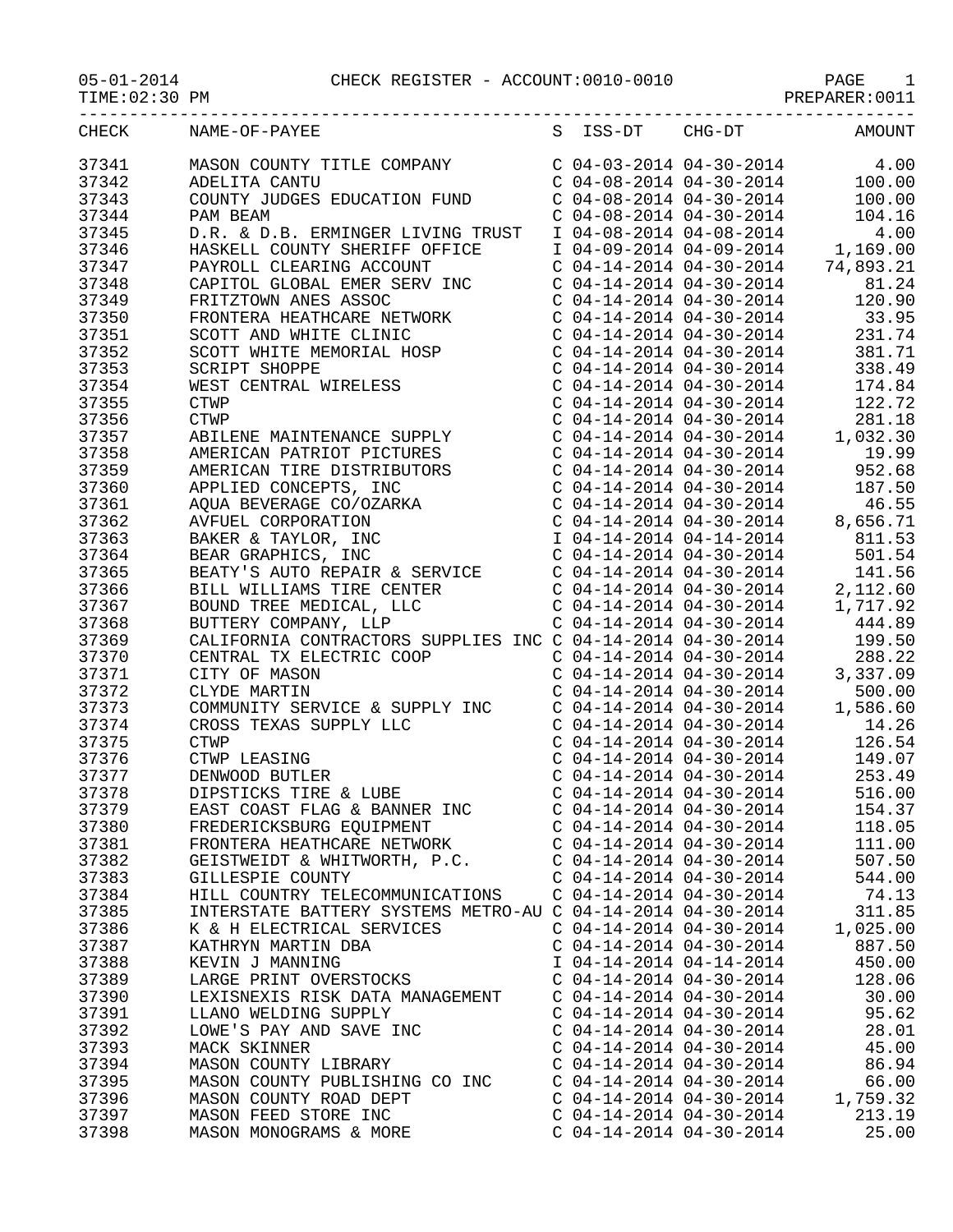05-01-2014 CHECK REGISTER - ACCOUNT:0010-0010 PAGE 1

| $05 - 01 - 2014$ |
|------------------|
|------------------|

TIME:02:30 PM PREPARER:0011

| $\frac{1}{2}$ |  | $--- - - - - - - - - -$ |  |  | ----- | $\sim$ $\sim$ $\sim$ $\sim$ |  | --------- |
|---------------|--|-------------------------|--|--|-------|-----------------------------|--|-----------|

| MASON COUNTY TITLE COMPANY<br>37341<br>$C$ 04-03-2014 04-30-2014 4.00<br>$\begin{array}{cccccc} \texttt{C} & 04-08-2014 & 04-30-2014 & & 100.00 \ \texttt{C} & 04-08-2014 & 04-30-2014 & & 100.00 \ \texttt{C} & 04-08-2014 & 04-30-2014 & & 104.16 \ \texttt{I} & 04-08-2014 & 04-08-2014 & & 4.00 \end{array}$<br>ADELITA CANTU<br>COUNTY JUDGES EDUCATION FUND<br>37343<br>37344<br>PAM BEAM<br>37345<br>D.R. & D.B. ERMINGER LIVING TRUST<br>I 04-09-2014 04-09-2014 1,169.00<br>37346<br>HASKELL COUNTY SHERIFF OFFICE<br>C $04-14-2014$ $04-30-2014$ 74,893.21<br>37347<br>PAYROLL CLEARING ACCOUNT<br>CAPITOL GLOBAL EMER SERV INC<br>81.24<br>37348<br>C 04-14-2014 04-30-2014<br>C 04-14-2014 04-30-2014<br>120.90<br>37349<br>FRITZTOWN ANES ASSOC<br>$C$ 04-14-2014 04-30-2014 33.95<br>FRONTERA HEATHCARE NETWORK<br>37350<br>$C$ 04-14-2014 04-30-2014 231.74<br>37351<br>SCOTT AND WHITE CLINIC<br>SCOTT WHITE MEMORIAL HOSP<br>37352<br>$C$ 04-14-2014 04-30-2014<br>381.71<br>SCOTT AND WILL<br>SCOTT WHITE MEMORIAL HOSP<br>SCRIPT SHOPPE<br>WEST CENTRAL WIRELESS<br>$\begin{array}{lllllll} \texttt{C} & 04-14-2014 & 04-30-2014 \\ \texttt{C} & 04-14-2014 & 04-30-2014 \\ \texttt{C} & 04-14-2014 & 04-30-2014 \\ \texttt{C} & 04-14-2014 & 04-30-2014 \\ \texttt{C} & 04-14-2014 & 04-30-2014 \\ \texttt{C} & 04-14-2014 & 04-30-2014 \\ \end{array}.$<br>338.49<br>37353<br>37354<br>174.84<br>37355<br>122.72<br>37356<br>281.18<br>ABILENE MAINTENANCE SUPPLY<br>AMERICAN PATRIOT PICTURES<br>37357<br>1,032.30<br>19.99<br>37358<br>$C$ 04-14-2014 04-30-2014<br>AMERICAN PATRIOT PICTORES<br>AMERICAN TIRE DISTRIBUTORS<br>APPLIED CONCEPTS, INC<br>AQUA BEVERAGE CO/OZARKA<br>AVFUEL CORPORATION<br>BAKER & TAYLOR, INC<br>BEAR GRAPHICS, INC<br>BEAR GRAPHICS, INC<br>BEATY'S AUTO REPAIR & SERVICE<br>BILL WI<br>37359<br>$\begin{array}{lllllll} \text{C} & 04-14-2014 & 04-30-2014 & & \text{S} \\ \text{C} & 04-14-2014 & 04-30-2014 & & \text{I} \\ \text{C} & 04-14-2014 & 04-30-2014 & & \text{I} \end{array}$<br>952.68<br>187.50<br>37360<br>46.55<br>37361<br>$C$ 04-14-2014 04-30-2014 8,656.71<br>37362<br>37363<br>I 04-14-2014 04-14-2014 811.53<br>501.54<br>37364<br>$C$ 04-14-2014 04-30-2014<br>37365<br>C 04-14-2014 04-30-2014<br>C 04-14-2014 04-30-2014<br>C 04-14-2014 04-30-2014<br>141.56<br>2,112.60<br>37366<br>37367<br>1,717.92<br>37368<br>BUTTERY COMPANY, LLP<br>$C$ 04-14-2014 04-30-2014<br>444.89<br>37369<br>CALIFORNIA CONTRACTORS SUPPLIES INC C 04-14-2014 04-30-2014<br>199.50<br>288.22<br>37370<br>CENTRAL TX ELECTRIC COOP<br>CITY OF MASON<br>CLYDE MARTIN<br>$C$ 04-14-2014 04-30-2014<br>37371<br>3,337.09<br>500.00<br>37372<br>CLYDE MARTIN<br>$C$ 04-14-2014 04-30-2014<br>COMMUNITY SERVICE & SUPPLY INC<br>37373<br>1,586.60<br>CROSS TEXAS SUPPLY LLC<br>CTWP<br>CTWP LEASING<br>DENWOOD BUTLER<br>DIPSTICKS TIRE & LUBE<br>37374<br>$C$ 04-14-2014 04-30-2014 14.26<br>37375<br>C 04-14-2014 04-30-2014<br>C 04-14-2014 04-30-2014<br>C 04-14-2014 04-30-2014<br>C 04-14-2014 04-30-2014<br>126.54<br>37376<br>149.07<br>37377<br>253.49<br>37378<br>516.00<br>$C$ 04-14-2014 04-30-2014<br>37379<br>EAST COAST FLAG & BANNER INC<br>154.37<br>118.05<br>$C$ 04-14-2014 04-30-2014<br>37380<br>FREDERICKSBURG EQUIPMENT<br>37381<br>$C$ 04-14-2014 04-30-2014<br>111.00<br>FRONTERA HEATHCARE NETWORK<br>37382<br>$C$ 04-14-2014 04-30-2014<br>507.50<br>GEISTWEIDT & WHITWORTH, P.C.<br>37383<br>GILLESPIE COUNTY<br>$C$ 04-14-2014 04-30-2014<br>544.00<br>37384<br>HILL COUNTRY TELECOMMUNICATIONS<br>$C$ 04-14-2014 04-30-2014<br>74.13<br>37385<br>INTERSTATE BATTERY SYSTEMS METRO-AU C 04-14-2014 04-30-2014<br>311.85<br>$C$ 04-14-2014 04-30-2014<br>1,025.00<br>37386<br>K & H ELECTRICAL SERVICES<br>37387<br>$C$ 04-14-2014 04-30-2014<br>887.50<br>KATHRYN MARTIN DBA<br>37388<br>I 04-14-2014 04-14-2014<br>450.00<br>KEVIN J MANNING<br>37389<br>LARGE PRINT OVERSTOCKS<br>$C$ 04-14-2014 04-30-2014<br>128.06<br>37390<br>LEXISNEXIS RISK DATA MANAGEMENT<br>$C$ 04-14-2014 04-30-2014<br>30.00<br>95.62<br>37391<br>LLANO WELDING SUPPLY<br>$C$ 04-14-2014 04-30-2014<br>37392<br>LOWE'S PAY AND SAVE INC<br>$C$ 04-14-2014 04-30-2014<br>28.01<br>37393<br>MACK SKINNER<br>$C$ 04-14-2014 04-30-2014<br>45.00<br>37394<br>MASON COUNTY LIBRARY<br>$C$ 04-14-2014 04-30-2014<br>86.94<br>37395<br>MASON COUNTY PUBLISHING CO INC<br>$C$ 04-14-2014 04-30-2014<br>66.00<br>37396<br>MASON COUNTY ROAD DEPT<br>$C$ 04-14-2014 04-30-2014<br>1,759.32<br>$C$ 04-14-2014 04-30-2014<br>37397<br>MASON FEED STORE INC<br>213.19<br>37398<br>$C$ 04-14-2014 04-30-2014<br>25.00<br>MASON MONOGRAMS & MORE | CHECK | NAME-OF-PAYEE | S | ISS-DT | CHG-DT | AMOUNT |
|--------------------------------------------------------------------------------------------------------------------------------------------------------------------------------------------------------------------------------------------------------------------------------------------------------------------------------------------------------------------------------------------------------------------------------------------------------------------------------------------------------------------------------------------------------------------------------------------------------------------------------------------------------------------------------------------------------------------------------------------------------------------------------------------------------------------------------------------------------------------------------------------------------------------------------------------------------------------------------------------------------------------------------------------------------------------------------------------------------------------------------------------------------------------------------------------------------------------------------------------------------------------------------------------------------------------------------------------------------------------------------------------------------------------------------------------------------------------------------------------------------------------------------------------------------------------------------------------------------------------------------------------------------------------------------------------------------------------------------------------------------------------------------------------------------------------------------------------------------------------------------------------------------------------------------------------------------------------------------------------------------------------------------------------------------------------------------------------------------------------------------------------------------------------------------------------------------------------------------------------------------------------------------------------------------------------------------------------------------------------------------------------------------------------------------------------------------------------------------------------------------------------------------------------------------------------------------------------------------------------------------------------------------------------------------------------------------------------------------------------------------------------------------------------------------------------------------------------------------------------------------------------------------------------------------------------------------------------------------------------------------------------------------------------------------------------------------------------------------------------------------------------------------------------------------------------------------------------------------------------------------------------------------------------------------------------------------------------------------------------------------------------------------------------------------------------------------------------------------------------------------------------------------------------------------------------------------------------------------------------------------------------------------------------------------------------------------------------------------------------------------------------------------------------------------------------------------------------------------------------------------------------------------------------------------------------------------------------------------------------------------------------------------------------------------------------------------------------------------------------------------------------------------------------------------------------------------------------------------------------------------------------------------------------------------------------------------------------------------------------------------------------------------------------------------------------------------------------------------------------------------------------------------------------------------------------------------------------------------------------------------------------------------------------------------------------------------|-------|---------------|---|--------|--------|--------|
|                                                                                                                                                                                                                                                                                                                                                                                                                                                                                                                                                                                                                                                                                                                                                                                                                                                                                                                                                                                                                                                                                                                                                                                                                                                                                                                                                                                                                                                                                                                                                                                                                                                                                                                                                                                                                                                                                                                                                                                                                                                                                                                                                                                                                                                                                                                                                                                                                                                                                                                                                                                                                                                                                                                                                                                                                                                                                                                                                                                                                                                                                                                                                                                                                                                                                                                                                                                                                                                                                                                                                                                                                                                                                                                                                                                                                                                                                                                                                                                                                                                                                                                                                                                                                                                                                                                                                                                                                                                                                                                                                                                                                                                                                                        |       |               |   |        |        |        |
|                                                                                                                                                                                                                                                                                                                                                                                                                                                                                                                                                                                                                                                                                                                                                                                                                                                                                                                                                                                                                                                                                                                                                                                                                                                                                                                                                                                                                                                                                                                                                                                                                                                                                                                                                                                                                                                                                                                                                                                                                                                                                                                                                                                                                                                                                                                                                                                                                                                                                                                                                                                                                                                                                                                                                                                                                                                                                                                                                                                                                                                                                                                                                                                                                                                                                                                                                                                                                                                                                                                                                                                                                                                                                                                                                                                                                                                                                                                                                                                                                                                                                                                                                                                                                                                                                                                                                                                                                                                                                                                                                                                                                                                                                                        | 37342 |               |   |        |        |        |
|                                                                                                                                                                                                                                                                                                                                                                                                                                                                                                                                                                                                                                                                                                                                                                                                                                                                                                                                                                                                                                                                                                                                                                                                                                                                                                                                                                                                                                                                                                                                                                                                                                                                                                                                                                                                                                                                                                                                                                                                                                                                                                                                                                                                                                                                                                                                                                                                                                                                                                                                                                                                                                                                                                                                                                                                                                                                                                                                                                                                                                                                                                                                                                                                                                                                                                                                                                                                                                                                                                                                                                                                                                                                                                                                                                                                                                                                                                                                                                                                                                                                                                                                                                                                                                                                                                                                                                                                                                                                                                                                                                                                                                                                                                        |       |               |   |        |        |        |
|                                                                                                                                                                                                                                                                                                                                                                                                                                                                                                                                                                                                                                                                                                                                                                                                                                                                                                                                                                                                                                                                                                                                                                                                                                                                                                                                                                                                                                                                                                                                                                                                                                                                                                                                                                                                                                                                                                                                                                                                                                                                                                                                                                                                                                                                                                                                                                                                                                                                                                                                                                                                                                                                                                                                                                                                                                                                                                                                                                                                                                                                                                                                                                                                                                                                                                                                                                                                                                                                                                                                                                                                                                                                                                                                                                                                                                                                                                                                                                                                                                                                                                                                                                                                                                                                                                                                                                                                                                                                                                                                                                                                                                                                                                        |       |               |   |        |        |        |
|                                                                                                                                                                                                                                                                                                                                                                                                                                                                                                                                                                                                                                                                                                                                                                                                                                                                                                                                                                                                                                                                                                                                                                                                                                                                                                                                                                                                                                                                                                                                                                                                                                                                                                                                                                                                                                                                                                                                                                                                                                                                                                                                                                                                                                                                                                                                                                                                                                                                                                                                                                                                                                                                                                                                                                                                                                                                                                                                                                                                                                                                                                                                                                                                                                                                                                                                                                                                                                                                                                                                                                                                                                                                                                                                                                                                                                                                                                                                                                                                                                                                                                                                                                                                                                                                                                                                                                                                                                                                                                                                                                                                                                                                                                        |       |               |   |        |        |        |
|                                                                                                                                                                                                                                                                                                                                                                                                                                                                                                                                                                                                                                                                                                                                                                                                                                                                                                                                                                                                                                                                                                                                                                                                                                                                                                                                                                                                                                                                                                                                                                                                                                                                                                                                                                                                                                                                                                                                                                                                                                                                                                                                                                                                                                                                                                                                                                                                                                                                                                                                                                                                                                                                                                                                                                                                                                                                                                                                                                                                                                                                                                                                                                                                                                                                                                                                                                                                                                                                                                                                                                                                                                                                                                                                                                                                                                                                                                                                                                                                                                                                                                                                                                                                                                                                                                                                                                                                                                                                                                                                                                                                                                                                                                        |       |               |   |        |        |        |
|                                                                                                                                                                                                                                                                                                                                                                                                                                                                                                                                                                                                                                                                                                                                                                                                                                                                                                                                                                                                                                                                                                                                                                                                                                                                                                                                                                                                                                                                                                                                                                                                                                                                                                                                                                                                                                                                                                                                                                                                                                                                                                                                                                                                                                                                                                                                                                                                                                                                                                                                                                                                                                                                                                                                                                                                                                                                                                                                                                                                                                                                                                                                                                                                                                                                                                                                                                                                                                                                                                                                                                                                                                                                                                                                                                                                                                                                                                                                                                                                                                                                                                                                                                                                                                                                                                                                                                                                                                                                                                                                                                                                                                                                                                        |       |               |   |        |        |        |
|                                                                                                                                                                                                                                                                                                                                                                                                                                                                                                                                                                                                                                                                                                                                                                                                                                                                                                                                                                                                                                                                                                                                                                                                                                                                                                                                                                                                                                                                                                                                                                                                                                                                                                                                                                                                                                                                                                                                                                                                                                                                                                                                                                                                                                                                                                                                                                                                                                                                                                                                                                                                                                                                                                                                                                                                                                                                                                                                                                                                                                                                                                                                                                                                                                                                                                                                                                                                                                                                                                                                                                                                                                                                                                                                                                                                                                                                                                                                                                                                                                                                                                                                                                                                                                                                                                                                                                                                                                                                                                                                                                                                                                                                                                        |       |               |   |        |        |        |
|                                                                                                                                                                                                                                                                                                                                                                                                                                                                                                                                                                                                                                                                                                                                                                                                                                                                                                                                                                                                                                                                                                                                                                                                                                                                                                                                                                                                                                                                                                                                                                                                                                                                                                                                                                                                                                                                                                                                                                                                                                                                                                                                                                                                                                                                                                                                                                                                                                                                                                                                                                                                                                                                                                                                                                                                                                                                                                                                                                                                                                                                                                                                                                                                                                                                                                                                                                                                                                                                                                                                                                                                                                                                                                                                                                                                                                                                                                                                                                                                                                                                                                                                                                                                                                                                                                                                                                                                                                                                                                                                                                                                                                                                                                        |       |               |   |        |        |        |
|                                                                                                                                                                                                                                                                                                                                                                                                                                                                                                                                                                                                                                                                                                                                                                                                                                                                                                                                                                                                                                                                                                                                                                                                                                                                                                                                                                                                                                                                                                                                                                                                                                                                                                                                                                                                                                                                                                                                                                                                                                                                                                                                                                                                                                                                                                                                                                                                                                                                                                                                                                                                                                                                                                                                                                                                                                                                                                                                                                                                                                                                                                                                                                                                                                                                                                                                                                                                                                                                                                                                                                                                                                                                                                                                                                                                                                                                                                                                                                                                                                                                                                                                                                                                                                                                                                                                                                                                                                                                                                                                                                                                                                                                                                        |       |               |   |        |        |        |
|                                                                                                                                                                                                                                                                                                                                                                                                                                                                                                                                                                                                                                                                                                                                                                                                                                                                                                                                                                                                                                                                                                                                                                                                                                                                                                                                                                                                                                                                                                                                                                                                                                                                                                                                                                                                                                                                                                                                                                                                                                                                                                                                                                                                                                                                                                                                                                                                                                                                                                                                                                                                                                                                                                                                                                                                                                                                                                                                                                                                                                                                                                                                                                                                                                                                                                                                                                                                                                                                                                                                                                                                                                                                                                                                                                                                                                                                                                                                                                                                                                                                                                                                                                                                                                                                                                                                                                                                                                                                                                                                                                                                                                                                                                        |       |               |   |        |        |        |
|                                                                                                                                                                                                                                                                                                                                                                                                                                                                                                                                                                                                                                                                                                                                                                                                                                                                                                                                                                                                                                                                                                                                                                                                                                                                                                                                                                                                                                                                                                                                                                                                                                                                                                                                                                                                                                                                                                                                                                                                                                                                                                                                                                                                                                                                                                                                                                                                                                                                                                                                                                                                                                                                                                                                                                                                                                                                                                                                                                                                                                                                                                                                                                                                                                                                                                                                                                                                                                                                                                                                                                                                                                                                                                                                                                                                                                                                                                                                                                                                                                                                                                                                                                                                                                                                                                                                                                                                                                                                                                                                                                                                                                                                                                        |       |               |   |        |        |        |
|                                                                                                                                                                                                                                                                                                                                                                                                                                                                                                                                                                                                                                                                                                                                                                                                                                                                                                                                                                                                                                                                                                                                                                                                                                                                                                                                                                                                                                                                                                                                                                                                                                                                                                                                                                                                                                                                                                                                                                                                                                                                                                                                                                                                                                                                                                                                                                                                                                                                                                                                                                                                                                                                                                                                                                                                                                                                                                                                                                                                                                                                                                                                                                                                                                                                                                                                                                                                                                                                                                                                                                                                                                                                                                                                                                                                                                                                                                                                                                                                                                                                                                                                                                                                                                                                                                                                                                                                                                                                                                                                                                                                                                                                                                        |       |               |   |        |        |        |
|                                                                                                                                                                                                                                                                                                                                                                                                                                                                                                                                                                                                                                                                                                                                                                                                                                                                                                                                                                                                                                                                                                                                                                                                                                                                                                                                                                                                                                                                                                                                                                                                                                                                                                                                                                                                                                                                                                                                                                                                                                                                                                                                                                                                                                                                                                                                                                                                                                                                                                                                                                                                                                                                                                                                                                                                                                                                                                                                                                                                                                                                                                                                                                                                                                                                                                                                                                                                                                                                                                                                                                                                                                                                                                                                                                                                                                                                                                                                                                                                                                                                                                                                                                                                                                                                                                                                                                                                                                                                                                                                                                                                                                                                                                        |       |               |   |        |        |        |
|                                                                                                                                                                                                                                                                                                                                                                                                                                                                                                                                                                                                                                                                                                                                                                                                                                                                                                                                                                                                                                                                                                                                                                                                                                                                                                                                                                                                                                                                                                                                                                                                                                                                                                                                                                                                                                                                                                                                                                                                                                                                                                                                                                                                                                                                                                                                                                                                                                                                                                                                                                                                                                                                                                                                                                                                                                                                                                                                                                                                                                                                                                                                                                                                                                                                                                                                                                                                                                                                                                                                                                                                                                                                                                                                                                                                                                                                                                                                                                                                                                                                                                                                                                                                                                                                                                                                                                                                                                                                                                                                                                                                                                                                                                        |       |               |   |        |        |        |
|                                                                                                                                                                                                                                                                                                                                                                                                                                                                                                                                                                                                                                                                                                                                                                                                                                                                                                                                                                                                                                                                                                                                                                                                                                                                                                                                                                                                                                                                                                                                                                                                                                                                                                                                                                                                                                                                                                                                                                                                                                                                                                                                                                                                                                                                                                                                                                                                                                                                                                                                                                                                                                                                                                                                                                                                                                                                                                                                                                                                                                                                                                                                                                                                                                                                                                                                                                                                                                                                                                                                                                                                                                                                                                                                                                                                                                                                                                                                                                                                                                                                                                                                                                                                                                                                                                                                                                                                                                                                                                                                                                                                                                                                                                        |       |               |   |        |        |        |
|                                                                                                                                                                                                                                                                                                                                                                                                                                                                                                                                                                                                                                                                                                                                                                                                                                                                                                                                                                                                                                                                                                                                                                                                                                                                                                                                                                                                                                                                                                                                                                                                                                                                                                                                                                                                                                                                                                                                                                                                                                                                                                                                                                                                                                                                                                                                                                                                                                                                                                                                                                                                                                                                                                                                                                                                                                                                                                                                                                                                                                                                                                                                                                                                                                                                                                                                                                                                                                                                                                                                                                                                                                                                                                                                                                                                                                                                                                                                                                                                                                                                                                                                                                                                                                                                                                                                                                                                                                                                                                                                                                                                                                                                                                        |       |               |   |        |        |        |
|                                                                                                                                                                                                                                                                                                                                                                                                                                                                                                                                                                                                                                                                                                                                                                                                                                                                                                                                                                                                                                                                                                                                                                                                                                                                                                                                                                                                                                                                                                                                                                                                                                                                                                                                                                                                                                                                                                                                                                                                                                                                                                                                                                                                                                                                                                                                                                                                                                                                                                                                                                                                                                                                                                                                                                                                                                                                                                                                                                                                                                                                                                                                                                                                                                                                                                                                                                                                                                                                                                                                                                                                                                                                                                                                                                                                                                                                                                                                                                                                                                                                                                                                                                                                                                                                                                                                                                                                                                                                                                                                                                                                                                                                                                        |       |               |   |        |        |        |
|                                                                                                                                                                                                                                                                                                                                                                                                                                                                                                                                                                                                                                                                                                                                                                                                                                                                                                                                                                                                                                                                                                                                                                                                                                                                                                                                                                                                                                                                                                                                                                                                                                                                                                                                                                                                                                                                                                                                                                                                                                                                                                                                                                                                                                                                                                                                                                                                                                                                                                                                                                                                                                                                                                                                                                                                                                                                                                                                                                                                                                                                                                                                                                                                                                                                                                                                                                                                                                                                                                                                                                                                                                                                                                                                                                                                                                                                                                                                                                                                                                                                                                                                                                                                                                                                                                                                                                                                                                                                                                                                                                                                                                                                                                        |       |               |   |        |        |        |
|                                                                                                                                                                                                                                                                                                                                                                                                                                                                                                                                                                                                                                                                                                                                                                                                                                                                                                                                                                                                                                                                                                                                                                                                                                                                                                                                                                                                                                                                                                                                                                                                                                                                                                                                                                                                                                                                                                                                                                                                                                                                                                                                                                                                                                                                                                                                                                                                                                                                                                                                                                                                                                                                                                                                                                                                                                                                                                                                                                                                                                                                                                                                                                                                                                                                                                                                                                                                                                                                                                                                                                                                                                                                                                                                                                                                                                                                                                                                                                                                                                                                                                                                                                                                                                                                                                                                                                                                                                                                                                                                                                                                                                                                                                        |       |               |   |        |        |        |
|                                                                                                                                                                                                                                                                                                                                                                                                                                                                                                                                                                                                                                                                                                                                                                                                                                                                                                                                                                                                                                                                                                                                                                                                                                                                                                                                                                                                                                                                                                                                                                                                                                                                                                                                                                                                                                                                                                                                                                                                                                                                                                                                                                                                                                                                                                                                                                                                                                                                                                                                                                                                                                                                                                                                                                                                                                                                                                                                                                                                                                                                                                                                                                                                                                                                                                                                                                                                                                                                                                                                                                                                                                                                                                                                                                                                                                                                                                                                                                                                                                                                                                                                                                                                                                                                                                                                                                                                                                                                                                                                                                                                                                                                                                        |       |               |   |        |        |        |
|                                                                                                                                                                                                                                                                                                                                                                                                                                                                                                                                                                                                                                                                                                                                                                                                                                                                                                                                                                                                                                                                                                                                                                                                                                                                                                                                                                                                                                                                                                                                                                                                                                                                                                                                                                                                                                                                                                                                                                                                                                                                                                                                                                                                                                                                                                                                                                                                                                                                                                                                                                                                                                                                                                                                                                                                                                                                                                                                                                                                                                                                                                                                                                                                                                                                                                                                                                                                                                                                                                                                                                                                                                                                                                                                                                                                                                                                                                                                                                                                                                                                                                                                                                                                                                                                                                                                                                                                                                                                                                                                                                                                                                                                                                        |       |               |   |        |        |        |
|                                                                                                                                                                                                                                                                                                                                                                                                                                                                                                                                                                                                                                                                                                                                                                                                                                                                                                                                                                                                                                                                                                                                                                                                                                                                                                                                                                                                                                                                                                                                                                                                                                                                                                                                                                                                                                                                                                                                                                                                                                                                                                                                                                                                                                                                                                                                                                                                                                                                                                                                                                                                                                                                                                                                                                                                                                                                                                                                                                                                                                                                                                                                                                                                                                                                                                                                                                                                                                                                                                                                                                                                                                                                                                                                                                                                                                                                                                                                                                                                                                                                                                                                                                                                                                                                                                                                                                                                                                                                                                                                                                                                                                                                                                        |       |               |   |        |        |        |
|                                                                                                                                                                                                                                                                                                                                                                                                                                                                                                                                                                                                                                                                                                                                                                                                                                                                                                                                                                                                                                                                                                                                                                                                                                                                                                                                                                                                                                                                                                                                                                                                                                                                                                                                                                                                                                                                                                                                                                                                                                                                                                                                                                                                                                                                                                                                                                                                                                                                                                                                                                                                                                                                                                                                                                                                                                                                                                                                                                                                                                                                                                                                                                                                                                                                                                                                                                                                                                                                                                                                                                                                                                                                                                                                                                                                                                                                                                                                                                                                                                                                                                                                                                                                                                                                                                                                                                                                                                                                                                                                                                                                                                                                                                        |       |               |   |        |        |        |
|                                                                                                                                                                                                                                                                                                                                                                                                                                                                                                                                                                                                                                                                                                                                                                                                                                                                                                                                                                                                                                                                                                                                                                                                                                                                                                                                                                                                                                                                                                                                                                                                                                                                                                                                                                                                                                                                                                                                                                                                                                                                                                                                                                                                                                                                                                                                                                                                                                                                                                                                                                                                                                                                                                                                                                                                                                                                                                                                                                                                                                                                                                                                                                                                                                                                                                                                                                                                                                                                                                                                                                                                                                                                                                                                                                                                                                                                                                                                                                                                                                                                                                                                                                                                                                                                                                                                                                                                                                                                                                                                                                                                                                                                                                        |       |               |   |        |        |        |
|                                                                                                                                                                                                                                                                                                                                                                                                                                                                                                                                                                                                                                                                                                                                                                                                                                                                                                                                                                                                                                                                                                                                                                                                                                                                                                                                                                                                                                                                                                                                                                                                                                                                                                                                                                                                                                                                                                                                                                                                                                                                                                                                                                                                                                                                                                                                                                                                                                                                                                                                                                                                                                                                                                                                                                                                                                                                                                                                                                                                                                                                                                                                                                                                                                                                                                                                                                                                                                                                                                                                                                                                                                                                                                                                                                                                                                                                                                                                                                                                                                                                                                                                                                                                                                                                                                                                                                                                                                                                                                                                                                                                                                                                                                        |       |               |   |        |        |        |
|                                                                                                                                                                                                                                                                                                                                                                                                                                                                                                                                                                                                                                                                                                                                                                                                                                                                                                                                                                                                                                                                                                                                                                                                                                                                                                                                                                                                                                                                                                                                                                                                                                                                                                                                                                                                                                                                                                                                                                                                                                                                                                                                                                                                                                                                                                                                                                                                                                                                                                                                                                                                                                                                                                                                                                                                                                                                                                                                                                                                                                                                                                                                                                                                                                                                                                                                                                                                                                                                                                                                                                                                                                                                                                                                                                                                                                                                                                                                                                                                                                                                                                                                                                                                                                                                                                                                                                                                                                                                                                                                                                                                                                                                                                        |       |               |   |        |        |        |
|                                                                                                                                                                                                                                                                                                                                                                                                                                                                                                                                                                                                                                                                                                                                                                                                                                                                                                                                                                                                                                                                                                                                                                                                                                                                                                                                                                                                                                                                                                                                                                                                                                                                                                                                                                                                                                                                                                                                                                                                                                                                                                                                                                                                                                                                                                                                                                                                                                                                                                                                                                                                                                                                                                                                                                                                                                                                                                                                                                                                                                                                                                                                                                                                                                                                                                                                                                                                                                                                                                                                                                                                                                                                                                                                                                                                                                                                                                                                                                                                                                                                                                                                                                                                                                                                                                                                                                                                                                                                                                                                                                                                                                                                                                        |       |               |   |        |        |        |
|                                                                                                                                                                                                                                                                                                                                                                                                                                                                                                                                                                                                                                                                                                                                                                                                                                                                                                                                                                                                                                                                                                                                                                                                                                                                                                                                                                                                                                                                                                                                                                                                                                                                                                                                                                                                                                                                                                                                                                                                                                                                                                                                                                                                                                                                                                                                                                                                                                                                                                                                                                                                                                                                                                                                                                                                                                                                                                                                                                                                                                                                                                                                                                                                                                                                                                                                                                                                                                                                                                                                                                                                                                                                                                                                                                                                                                                                                                                                                                                                                                                                                                                                                                                                                                                                                                                                                                                                                                                                                                                                                                                                                                                                                                        |       |               |   |        |        |        |
|                                                                                                                                                                                                                                                                                                                                                                                                                                                                                                                                                                                                                                                                                                                                                                                                                                                                                                                                                                                                                                                                                                                                                                                                                                                                                                                                                                                                                                                                                                                                                                                                                                                                                                                                                                                                                                                                                                                                                                                                                                                                                                                                                                                                                                                                                                                                                                                                                                                                                                                                                                                                                                                                                                                                                                                                                                                                                                                                                                                                                                                                                                                                                                                                                                                                                                                                                                                                                                                                                                                                                                                                                                                                                                                                                                                                                                                                                                                                                                                                                                                                                                                                                                                                                                                                                                                                                                                                                                                                                                                                                                                                                                                                                                        |       |               |   |        |        |        |
|                                                                                                                                                                                                                                                                                                                                                                                                                                                                                                                                                                                                                                                                                                                                                                                                                                                                                                                                                                                                                                                                                                                                                                                                                                                                                                                                                                                                                                                                                                                                                                                                                                                                                                                                                                                                                                                                                                                                                                                                                                                                                                                                                                                                                                                                                                                                                                                                                                                                                                                                                                                                                                                                                                                                                                                                                                                                                                                                                                                                                                                                                                                                                                                                                                                                                                                                                                                                                                                                                                                                                                                                                                                                                                                                                                                                                                                                                                                                                                                                                                                                                                                                                                                                                                                                                                                                                                                                                                                                                                                                                                                                                                                                                                        |       |               |   |        |        |        |
|                                                                                                                                                                                                                                                                                                                                                                                                                                                                                                                                                                                                                                                                                                                                                                                                                                                                                                                                                                                                                                                                                                                                                                                                                                                                                                                                                                                                                                                                                                                                                                                                                                                                                                                                                                                                                                                                                                                                                                                                                                                                                                                                                                                                                                                                                                                                                                                                                                                                                                                                                                                                                                                                                                                                                                                                                                                                                                                                                                                                                                                                                                                                                                                                                                                                                                                                                                                                                                                                                                                                                                                                                                                                                                                                                                                                                                                                                                                                                                                                                                                                                                                                                                                                                                                                                                                                                                                                                                                                                                                                                                                                                                                                                                        |       |               |   |        |        |        |
|                                                                                                                                                                                                                                                                                                                                                                                                                                                                                                                                                                                                                                                                                                                                                                                                                                                                                                                                                                                                                                                                                                                                                                                                                                                                                                                                                                                                                                                                                                                                                                                                                                                                                                                                                                                                                                                                                                                                                                                                                                                                                                                                                                                                                                                                                                                                                                                                                                                                                                                                                                                                                                                                                                                                                                                                                                                                                                                                                                                                                                                                                                                                                                                                                                                                                                                                                                                                                                                                                                                                                                                                                                                                                                                                                                                                                                                                                                                                                                                                                                                                                                                                                                                                                                                                                                                                                                                                                                                                                                                                                                                                                                                                                                        |       |               |   |        |        |        |
|                                                                                                                                                                                                                                                                                                                                                                                                                                                                                                                                                                                                                                                                                                                                                                                                                                                                                                                                                                                                                                                                                                                                                                                                                                                                                                                                                                                                                                                                                                                                                                                                                                                                                                                                                                                                                                                                                                                                                                                                                                                                                                                                                                                                                                                                                                                                                                                                                                                                                                                                                                                                                                                                                                                                                                                                                                                                                                                                                                                                                                                                                                                                                                                                                                                                                                                                                                                                                                                                                                                                                                                                                                                                                                                                                                                                                                                                                                                                                                                                                                                                                                                                                                                                                                                                                                                                                                                                                                                                                                                                                                                                                                                                                                        |       |               |   |        |        |        |
|                                                                                                                                                                                                                                                                                                                                                                                                                                                                                                                                                                                                                                                                                                                                                                                                                                                                                                                                                                                                                                                                                                                                                                                                                                                                                                                                                                                                                                                                                                                                                                                                                                                                                                                                                                                                                                                                                                                                                                                                                                                                                                                                                                                                                                                                                                                                                                                                                                                                                                                                                                                                                                                                                                                                                                                                                                                                                                                                                                                                                                                                                                                                                                                                                                                                                                                                                                                                                                                                                                                                                                                                                                                                                                                                                                                                                                                                                                                                                                                                                                                                                                                                                                                                                                                                                                                                                                                                                                                                                                                                                                                                                                                                                                        |       |               |   |        |        |        |
|                                                                                                                                                                                                                                                                                                                                                                                                                                                                                                                                                                                                                                                                                                                                                                                                                                                                                                                                                                                                                                                                                                                                                                                                                                                                                                                                                                                                                                                                                                                                                                                                                                                                                                                                                                                                                                                                                                                                                                                                                                                                                                                                                                                                                                                                                                                                                                                                                                                                                                                                                                                                                                                                                                                                                                                                                                                                                                                                                                                                                                                                                                                                                                                                                                                                                                                                                                                                                                                                                                                                                                                                                                                                                                                                                                                                                                                                                                                                                                                                                                                                                                                                                                                                                                                                                                                                                                                                                                                                                                                                                                                                                                                                                                        |       |               |   |        |        |        |
|                                                                                                                                                                                                                                                                                                                                                                                                                                                                                                                                                                                                                                                                                                                                                                                                                                                                                                                                                                                                                                                                                                                                                                                                                                                                                                                                                                                                                                                                                                                                                                                                                                                                                                                                                                                                                                                                                                                                                                                                                                                                                                                                                                                                                                                                                                                                                                                                                                                                                                                                                                                                                                                                                                                                                                                                                                                                                                                                                                                                                                                                                                                                                                                                                                                                                                                                                                                                                                                                                                                                                                                                                                                                                                                                                                                                                                                                                                                                                                                                                                                                                                                                                                                                                                                                                                                                                                                                                                                                                                                                                                                                                                                                                                        |       |               |   |        |        |        |
|                                                                                                                                                                                                                                                                                                                                                                                                                                                                                                                                                                                                                                                                                                                                                                                                                                                                                                                                                                                                                                                                                                                                                                                                                                                                                                                                                                                                                                                                                                                                                                                                                                                                                                                                                                                                                                                                                                                                                                                                                                                                                                                                                                                                                                                                                                                                                                                                                                                                                                                                                                                                                                                                                                                                                                                                                                                                                                                                                                                                                                                                                                                                                                                                                                                                                                                                                                                                                                                                                                                                                                                                                                                                                                                                                                                                                                                                                                                                                                                                                                                                                                                                                                                                                                                                                                                                                                                                                                                                                                                                                                                                                                                                                                        |       |               |   |        |        |        |
|                                                                                                                                                                                                                                                                                                                                                                                                                                                                                                                                                                                                                                                                                                                                                                                                                                                                                                                                                                                                                                                                                                                                                                                                                                                                                                                                                                                                                                                                                                                                                                                                                                                                                                                                                                                                                                                                                                                                                                                                                                                                                                                                                                                                                                                                                                                                                                                                                                                                                                                                                                                                                                                                                                                                                                                                                                                                                                                                                                                                                                                                                                                                                                                                                                                                                                                                                                                                                                                                                                                                                                                                                                                                                                                                                                                                                                                                                                                                                                                                                                                                                                                                                                                                                                                                                                                                                                                                                                                                                                                                                                                                                                                                                                        |       |               |   |        |        |        |
|                                                                                                                                                                                                                                                                                                                                                                                                                                                                                                                                                                                                                                                                                                                                                                                                                                                                                                                                                                                                                                                                                                                                                                                                                                                                                                                                                                                                                                                                                                                                                                                                                                                                                                                                                                                                                                                                                                                                                                                                                                                                                                                                                                                                                                                                                                                                                                                                                                                                                                                                                                                                                                                                                                                                                                                                                                                                                                                                                                                                                                                                                                                                                                                                                                                                                                                                                                                                                                                                                                                                                                                                                                                                                                                                                                                                                                                                                                                                                                                                                                                                                                                                                                                                                                                                                                                                                                                                                                                                                                                                                                                                                                                                                                        |       |               |   |        |        |        |
|                                                                                                                                                                                                                                                                                                                                                                                                                                                                                                                                                                                                                                                                                                                                                                                                                                                                                                                                                                                                                                                                                                                                                                                                                                                                                                                                                                                                                                                                                                                                                                                                                                                                                                                                                                                                                                                                                                                                                                                                                                                                                                                                                                                                                                                                                                                                                                                                                                                                                                                                                                                                                                                                                                                                                                                                                                                                                                                                                                                                                                                                                                                                                                                                                                                                                                                                                                                                                                                                                                                                                                                                                                                                                                                                                                                                                                                                                                                                                                                                                                                                                                                                                                                                                                                                                                                                                                                                                                                                                                                                                                                                                                                                                                        |       |               |   |        |        |        |
|                                                                                                                                                                                                                                                                                                                                                                                                                                                                                                                                                                                                                                                                                                                                                                                                                                                                                                                                                                                                                                                                                                                                                                                                                                                                                                                                                                                                                                                                                                                                                                                                                                                                                                                                                                                                                                                                                                                                                                                                                                                                                                                                                                                                                                                                                                                                                                                                                                                                                                                                                                                                                                                                                                                                                                                                                                                                                                                                                                                                                                                                                                                                                                                                                                                                                                                                                                                                                                                                                                                                                                                                                                                                                                                                                                                                                                                                                                                                                                                                                                                                                                                                                                                                                                                                                                                                                                                                                                                                                                                                                                                                                                                                                                        |       |               |   |        |        |        |
|                                                                                                                                                                                                                                                                                                                                                                                                                                                                                                                                                                                                                                                                                                                                                                                                                                                                                                                                                                                                                                                                                                                                                                                                                                                                                                                                                                                                                                                                                                                                                                                                                                                                                                                                                                                                                                                                                                                                                                                                                                                                                                                                                                                                                                                                                                                                                                                                                                                                                                                                                                                                                                                                                                                                                                                                                                                                                                                                                                                                                                                                                                                                                                                                                                                                                                                                                                                                                                                                                                                                                                                                                                                                                                                                                                                                                                                                                                                                                                                                                                                                                                                                                                                                                                                                                                                                                                                                                                                                                                                                                                                                                                                                                                        |       |               |   |        |        |        |
|                                                                                                                                                                                                                                                                                                                                                                                                                                                                                                                                                                                                                                                                                                                                                                                                                                                                                                                                                                                                                                                                                                                                                                                                                                                                                                                                                                                                                                                                                                                                                                                                                                                                                                                                                                                                                                                                                                                                                                                                                                                                                                                                                                                                                                                                                                                                                                                                                                                                                                                                                                                                                                                                                                                                                                                                                                                                                                                                                                                                                                                                                                                                                                                                                                                                                                                                                                                                                                                                                                                                                                                                                                                                                                                                                                                                                                                                                                                                                                                                                                                                                                                                                                                                                                                                                                                                                                                                                                                                                                                                                                                                                                                                                                        |       |               |   |        |        |        |
|                                                                                                                                                                                                                                                                                                                                                                                                                                                                                                                                                                                                                                                                                                                                                                                                                                                                                                                                                                                                                                                                                                                                                                                                                                                                                                                                                                                                                                                                                                                                                                                                                                                                                                                                                                                                                                                                                                                                                                                                                                                                                                                                                                                                                                                                                                                                                                                                                                                                                                                                                                                                                                                                                                                                                                                                                                                                                                                                                                                                                                                                                                                                                                                                                                                                                                                                                                                                                                                                                                                                                                                                                                                                                                                                                                                                                                                                                                                                                                                                                                                                                                                                                                                                                                                                                                                                                                                                                                                                                                                                                                                                                                                                                                        |       |               |   |        |        |        |
|                                                                                                                                                                                                                                                                                                                                                                                                                                                                                                                                                                                                                                                                                                                                                                                                                                                                                                                                                                                                                                                                                                                                                                                                                                                                                                                                                                                                                                                                                                                                                                                                                                                                                                                                                                                                                                                                                                                                                                                                                                                                                                                                                                                                                                                                                                                                                                                                                                                                                                                                                                                                                                                                                                                                                                                                                                                                                                                                                                                                                                                                                                                                                                                                                                                                                                                                                                                                                                                                                                                                                                                                                                                                                                                                                                                                                                                                                                                                                                                                                                                                                                                                                                                                                                                                                                                                                                                                                                                                                                                                                                                                                                                                                                        |       |               |   |        |        |        |
|                                                                                                                                                                                                                                                                                                                                                                                                                                                                                                                                                                                                                                                                                                                                                                                                                                                                                                                                                                                                                                                                                                                                                                                                                                                                                                                                                                                                                                                                                                                                                                                                                                                                                                                                                                                                                                                                                                                                                                                                                                                                                                                                                                                                                                                                                                                                                                                                                                                                                                                                                                                                                                                                                                                                                                                                                                                                                                                                                                                                                                                                                                                                                                                                                                                                                                                                                                                                                                                                                                                                                                                                                                                                                                                                                                                                                                                                                                                                                                                                                                                                                                                                                                                                                                                                                                                                                                                                                                                                                                                                                                                                                                                                                                        |       |               |   |        |        |        |
|                                                                                                                                                                                                                                                                                                                                                                                                                                                                                                                                                                                                                                                                                                                                                                                                                                                                                                                                                                                                                                                                                                                                                                                                                                                                                                                                                                                                                                                                                                                                                                                                                                                                                                                                                                                                                                                                                                                                                                                                                                                                                                                                                                                                                                                                                                                                                                                                                                                                                                                                                                                                                                                                                                                                                                                                                                                                                                                                                                                                                                                                                                                                                                                                                                                                                                                                                                                                                                                                                                                                                                                                                                                                                                                                                                                                                                                                                                                                                                                                                                                                                                                                                                                                                                                                                                                                                                                                                                                                                                                                                                                                                                                                                                        |       |               |   |        |        |        |
|                                                                                                                                                                                                                                                                                                                                                                                                                                                                                                                                                                                                                                                                                                                                                                                                                                                                                                                                                                                                                                                                                                                                                                                                                                                                                                                                                                                                                                                                                                                                                                                                                                                                                                                                                                                                                                                                                                                                                                                                                                                                                                                                                                                                                                                                                                                                                                                                                                                                                                                                                                                                                                                                                                                                                                                                                                                                                                                                                                                                                                                                                                                                                                                                                                                                                                                                                                                                                                                                                                                                                                                                                                                                                                                                                                                                                                                                                                                                                                                                                                                                                                                                                                                                                                                                                                                                                                                                                                                                                                                                                                                                                                                                                                        |       |               |   |        |        |        |
|                                                                                                                                                                                                                                                                                                                                                                                                                                                                                                                                                                                                                                                                                                                                                                                                                                                                                                                                                                                                                                                                                                                                                                                                                                                                                                                                                                                                                                                                                                                                                                                                                                                                                                                                                                                                                                                                                                                                                                                                                                                                                                                                                                                                                                                                                                                                                                                                                                                                                                                                                                                                                                                                                                                                                                                                                                                                                                                                                                                                                                                                                                                                                                                                                                                                                                                                                                                                                                                                                                                                                                                                                                                                                                                                                                                                                                                                                                                                                                                                                                                                                                                                                                                                                                                                                                                                                                                                                                                                                                                                                                                                                                                                                                        |       |               |   |        |        |        |
|                                                                                                                                                                                                                                                                                                                                                                                                                                                                                                                                                                                                                                                                                                                                                                                                                                                                                                                                                                                                                                                                                                                                                                                                                                                                                                                                                                                                                                                                                                                                                                                                                                                                                                                                                                                                                                                                                                                                                                                                                                                                                                                                                                                                                                                                                                                                                                                                                                                                                                                                                                                                                                                                                                                                                                                                                                                                                                                                                                                                                                                                                                                                                                                                                                                                                                                                                                                                                                                                                                                                                                                                                                                                                                                                                                                                                                                                                                                                                                                                                                                                                                                                                                                                                                                                                                                                                                                                                                                                                                                                                                                                                                                                                                        |       |               |   |        |        |        |
|                                                                                                                                                                                                                                                                                                                                                                                                                                                                                                                                                                                                                                                                                                                                                                                                                                                                                                                                                                                                                                                                                                                                                                                                                                                                                                                                                                                                                                                                                                                                                                                                                                                                                                                                                                                                                                                                                                                                                                                                                                                                                                                                                                                                                                                                                                                                                                                                                                                                                                                                                                                                                                                                                                                                                                                                                                                                                                                                                                                                                                                                                                                                                                                                                                                                                                                                                                                                                                                                                                                                                                                                                                                                                                                                                                                                                                                                                                                                                                                                                                                                                                                                                                                                                                                                                                                                                                                                                                                                                                                                                                                                                                                                                                        |       |               |   |        |        |        |
|                                                                                                                                                                                                                                                                                                                                                                                                                                                                                                                                                                                                                                                                                                                                                                                                                                                                                                                                                                                                                                                                                                                                                                                                                                                                                                                                                                                                                                                                                                                                                                                                                                                                                                                                                                                                                                                                                                                                                                                                                                                                                                                                                                                                                                                                                                                                                                                                                                                                                                                                                                                                                                                                                                                                                                                                                                                                                                                                                                                                                                                                                                                                                                                                                                                                                                                                                                                                                                                                                                                                                                                                                                                                                                                                                                                                                                                                                                                                                                                                                                                                                                                                                                                                                                                                                                                                                                                                                                                                                                                                                                                                                                                                                                        |       |               |   |        |        |        |
|                                                                                                                                                                                                                                                                                                                                                                                                                                                                                                                                                                                                                                                                                                                                                                                                                                                                                                                                                                                                                                                                                                                                                                                                                                                                                                                                                                                                                                                                                                                                                                                                                                                                                                                                                                                                                                                                                                                                                                                                                                                                                                                                                                                                                                                                                                                                                                                                                                                                                                                                                                                                                                                                                                                                                                                                                                                                                                                                                                                                                                                                                                                                                                                                                                                                                                                                                                                                                                                                                                                                                                                                                                                                                                                                                                                                                                                                                                                                                                                                                                                                                                                                                                                                                                                                                                                                                                                                                                                                                                                                                                                                                                                                                                        |       |               |   |        |        |        |
|                                                                                                                                                                                                                                                                                                                                                                                                                                                                                                                                                                                                                                                                                                                                                                                                                                                                                                                                                                                                                                                                                                                                                                                                                                                                                                                                                                                                                                                                                                                                                                                                                                                                                                                                                                                                                                                                                                                                                                                                                                                                                                                                                                                                                                                                                                                                                                                                                                                                                                                                                                                                                                                                                                                                                                                                                                                                                                                                                                                                                                                                                                                                                                                                                                                                                                                                                                                                                                                                                                                                                                                                                                                                                                                                                                                                                                                                                                                                                                                                                                                                                                                                                                                                                                                                                                                                                                                                                                                                                                                                                                                                                                                                                                        |       |               |   |        |        |        |
|                                                                                                                                                                                                                                                                                                                                                                                                                                                                                                                                                                                                                                                                                                                                                                                                                                                                                                                                                                                                                                                                                                                                                                                                                                                                                                                                                                                                                                                                                                                                                                                                                                                                                                                                                                                                                                                                                                                                                                                                                                                                                                                                                                                                                                                                                                                                                                                                                                                                                                                                                                                                                                                                                                                                                                                                                                                                                                                                                                                                                                                                                                                                                                                                                                                                                                                                                                                                                                                                                                                                                                                                                                                                                                                                                                                                                                                                                                                                                                                                                                                                                                                                                                                                                                                                                                                                                                                                                                                                                                                                                                                                                                                                                                        |       |               |   |        |        |        |
|                                                                                                                                                                                                                                                                                                                                                                                                                                                                                                                                                                                                                                                                                                                                                                                                                                                                                                                                                                                                                                                                                                                                                                                                                                                                                                                                                                                                                                                                                                                                                                                                                                                                                                                                                                                                                                                                                                                                                                                                                                                                                                                                                                                                                                                                                                                                                                                                                                                                                                                                                                                                                                                                                                                                                                                                                                                                                                                                                                                                                                                                                                                                                                                                                                                                                                                                                                                                                                                                                                                                                                                                                                                                                                                                                                                                                                                                                                                                                                                                                                                                                                                                                                                                                                                                                                                                                                                                                                                                                                                                                                                                                                                                                                        |       |               |   |        |        |        |
|                                                                                                                                                                                                                                                                                                                                                                                                                                                                                                                                                                                                                                                                                                                                                                                                                                                                                                                                                                                                                                                                                                                                                                                                                                                                                                                                                                                                                                                                                                                                                                                                                                                                                                                                                                                                                                                                                                                                                                                                                                                                                                                                                                                                                                                                                                                                                                                                                                                                                                                                                                                                                                                                                                                                                                                                                                                                                                                                                                                                                                                                                                                                                                                                                                                                                                                                                                                                                                                                                                                                                                                                                                                                                                                                                                                                                                                                                                                                                                                                                                                                                                                                                                                                                                                                                                                                                                                                                                                                                                                                                                                                                                                                                                        |       |               |   |        |        |        |
|                                                                                                                                                                                                                                                                                                                                                                                                                                                                                                                                                                                                                                                                                                                                                                                                                                                                                                                                                                                                                                                                                                                                                                                                                                                                                                                                                                                                                                                                                                                                                                                                                                                                                                                                                                                                                                                                                                                                                                                                                                                                                                                                                                                                                                                                                                                                                                                                                                                                                                                                                                                                                                                                                                                                                                                                                                                                                                                                                                                                                                                                                                                                                                                                                                                                                                                                                                                                                                                                                                                                                                                                                                                                                                                                                                                                                                                                                                                                                                                                                                                                                                                                                                                                                                                                                                                                                                                                                                                                                                                                                                                                                                                                                                        |       |               |   |        |        |        |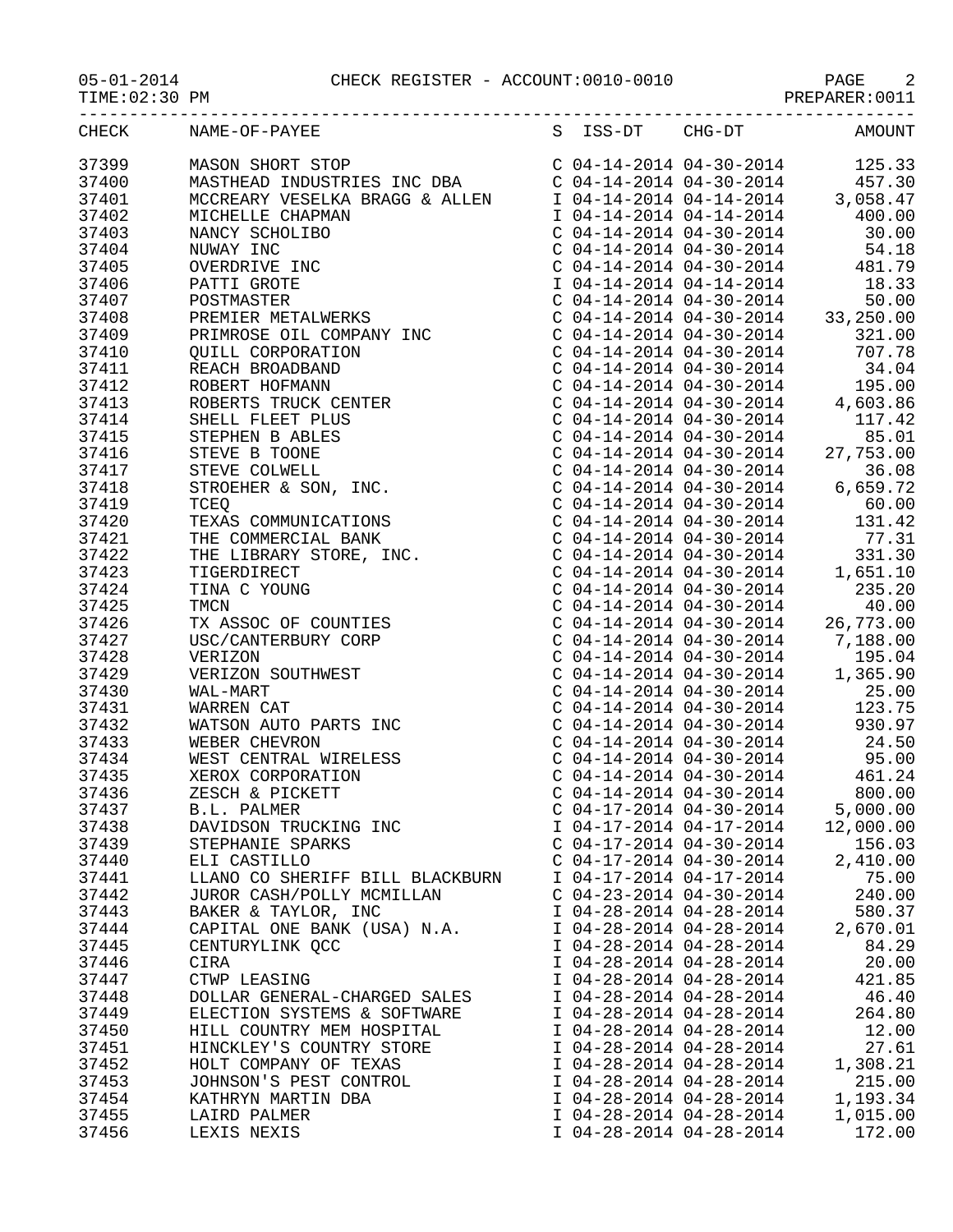05-01-2014 CHECK REGISTER - ACCOUNT:0010-0010 PAGE 2

|       | S ISS-DT CHG-DT AMOUNT<br>CHECK NAME-OF-PAYEE<br>$\begin{tabular}{@{}llllllll} \multicolumn{2}{c}{\textbf{C1B-CT}}&\textbf{MME-OP}=\textbf{MSEBAR} & \textbf{MSE-B1} & \textbf{G1B-B1} & \textbf{G1B-B1} & \textbf{G1B-B1} & \textbf{G1B-B1} & \textbf{G2B-B1} & \textbf{G3B-B1} & \textbf{G4B-B2} & \textbf{G5B-B1} & \textbf{G6B-B1} & \textbf{G6B-B1} & \textbf{G7B-B2} & \textbf{G8B-B1} & \textbf{G8B-B1} & \textbf{G9B-B1} & \textbf{$ |                           |           |
|-------|----------------------------------------------------------------------------------------------------------------------------------------------------------------------------------------------------------------------------------------------------------------------------------------------------------------------------------------------------------------------------------------------------------------------------------------------|---------------------------|-----------|
|       |                                                                                                                                                                                                                                                                                                                                                                                                                                              |                           |           |
|       |                                                                                                                                                                                                                                                                                                                                                                                                                                              |                           |           |
|       |                                                                                                                                                                                                                                                                                                                                                                                                                                              |                           |           |
|       |                                                                                                                                                                                                                                                                                                                                                                                                                                              |                           |           |
|       |                                                                                                                                                                                                                                                                                                                                                                                                                                              |                           |           |
|       |                                                                                                                                                                                                                                                                                                                                                                                                                                              |                           |           |
|       |                                                                                                                                                                                                                                                                                                                                                                                                                                              |                           |           |
|       |                                                                                                                                                                                                                                                                                                                                                                                                                                              |                           |           |
|       |                                                                                                                                                                                                                                                                                                                                                                                                                                              |                           |           |
|       |                                                                                                                                                                                                                                                                                                                                                                                                                                              |                           |           |
|       |                                                                                                                                                                                                                                                                                                                                                                                                                                              |                           |           |
|       |                                                                                                                                                                                                                                                                                                                                                                                                                                              |                           |           |
|       |                                                                                                                                                                                                                                                                                                                                                                                                                                              |                           |           |
|       |                                                                                                                                                                                                                                                                                                                                                                                                                                              |                           |           |
|       |                                                                                                                                                                                                                                                                                                                                                                                                                                              |                           |           |
|       |                                                                                                                                                                                                                                                                                                                                                                                                                                              |                           |           |
|       |                                                                                                                                                                                                                                                                                                                                                                                                                                              |                           |           |
|       |                                                                                                                                                                                                                                                                                                                                                                                                                                              |                           |           |
|       |                                                                                                                                                                                                                                                                                                                                                                                                                                              |                           |           |
|       |                                                                                                                                                                                                                                                                                                                                                                                                                                              |                           |           |
|       |                                                                                                                                                                                                                                                                                                                                                                                                                                              |                           |           |
|       |                                                                                                                                                                                                                                                                                                                                                                                                                                              |                           |           |
|       |                                                                                                                                                                                                                                                                                                                                                                                                                                              |                           |           |
|       |                                                                                                                                                                                                                                                                                                                                                                                                                                              |                           |           |
|       |                                                                                                                                                                                                                                                                                                                                                                                                                                              |                           |           |
|       |                                                                                                                                                                                                                                                                                                                                                                                                                                              |                           |           |
|       |                                                                                                                                                                                                                                                                                                                                                                                                                                              |                           |           |
|       |                                                                                                                                                                                                                                                                                                                                                                                                                                              |                           |           |
|       |                                                                                                                                                                                                                                                                                                                                                                                                                                              |                           |           |
|       |                                                                                                                                                                                                                                                                                                                                                                                                                                              |                           |           |
|       |                                                                                                                                                                                                                                                                                                                                                                                                                                              |                           |           |
|       |                                                                                                                                                                                                                                                                                                                                                                                                                                              |                           |           |
|       |                                                                                                                                                                                                                                                                                                                                                                                                                                              |                           |           |
|       |                                                                                                                                                                                                                                                                                                                                                                                                                                              |                           |           |
|       |                                                                                                                                                                                                                                                                                                                                                                                                                                              |                           |           |
|       |                                                                                                                                                                                                                                                                                                                                                                                                                                              |                           |           |
|       |                                                                                                                                                                                                                                                                                                                                                                                                                                              |                           |           |
|       |                                                                                                                                                                                                                                                                                                                                                                                                                                              |                           |           |
|       |                                                                                                                                                                                                                                                                                                                                                                                                                                              |                           |           |
| 37437 | B.L. PALMER                                                                                                                                                                                                                                                                                                                                                                                                                                  | $C$ 04-17-2014 04-30-2014 | 5,000.00  |
| 37438 | DAVIDSON TRUCKING INC                                                                                                                                                                                                                                                                                                                                                                                                                        | I 04-17-2014 04-17-2014   | 12,000.00 |
| 37439 | STEPHANIE SPARKS                                                                                                                                                                                                                                                                                                                                                                                                                             | $C$ 04-17-2014 04-30-2014 | 156.03    |
| 37440 | ELI CASTILLO                                                                                                                                                                                                                                                                                                                                                                                                                                 | $C$ 04-17-2014 04-30-2014 | 2,410.00  |
| 37441 | LLANO CO SHERIFF BILL BLACKBURN                                                                                                                                                                                                                                                                                                                                                                                                              | I 04-17-2014 04-17-2014   | 75.00     |
| 37442 | JUROR CASH/POLLY MCMILLAN                                                                                                                                                                                                                                                                                                                                                                                                                    | $C$ 04-23-2014 04-30-2014 | 240.00    |
| 37443 | BAKER & TAYLOR, INC                                                                                                                                                                                                                                                                                                                                                                                                                          | I 04-28-2014 04-28-2014   | 580.37    |
| 37444 | CAPITAL ONE BANK (USA) N.A.                                                                                                                                                                                                                                                                                                                                                                                                                  | I 04-28-2014 04-28-2014   | 2,670.01  |
| 37445 | CENTURYLINK QCC                                                                                                                                                                                                                                                                                                                                                                                                                              | I 04-28-2014 04-28-2014   | 84.29     |
| 37446 | CIRA                                                                                                                                                                                                                                                                                                                                                                                                                                         | I 04-28-2014 04-28-2014   | 20.00     |
| 37447 | CTWP LEASING                                                                                                                                                                                                                                                                                                                                                                                                                                 | I 04-28-2014 04-28-2014   | 421.85    |
| 37448 | DOLLAR GENERAL-CHARGED SALES                                                                                                                                                                                                                                                                                                                                                                                                                 | I 04-28-2014 04-28-2014   | 46.40     |
| 37449 | ELECTION SYSTEMS & SOFTWARE                                                                                                                                                                                                                                                                                                                                                                                                                  | I 04-28-2014 04-28-2014   | 264.80    |
| 37450 | HILL COUNTRY MEM HOSPITAL                                                                                                                                                                                                                                                                                                                                                                                                                    | I 04-28-2014 04-28-2014   | 12.00     |
| 37451 | HINCKLEY'S COUNTRY STORE                                                                                                                                                                                                                                                                                                                                                                                                                     | I 04-28-2014 04-28-2014   | 27.61     |
| 37452 | HOLT COMPANY OF TEXAS                                                                                                                                                                                                                                                                                                                                                                                                                        | I 04-28-2014 04-28-2014   | 1,308.21  |
| 37453 | JOHNSON'S PEST CONTROL                                                                                                                                                                                                                                                                                                                                                                                                                       | I 04-28-2014 04-28-2014   | 215.00    |
| 37454 | KATHRYN MARTIN DBA                                                                                                                                                                                                                                                                                                                                                                                                                           | I 04-28-2014 04-28-2014   | 1,193.34  |

37455 LAIRD PALMER 1 28-2014 04-28-2014 1,015.00 37456 LEXIS NEXIS I 04-28-2014 04-28-2014 172.00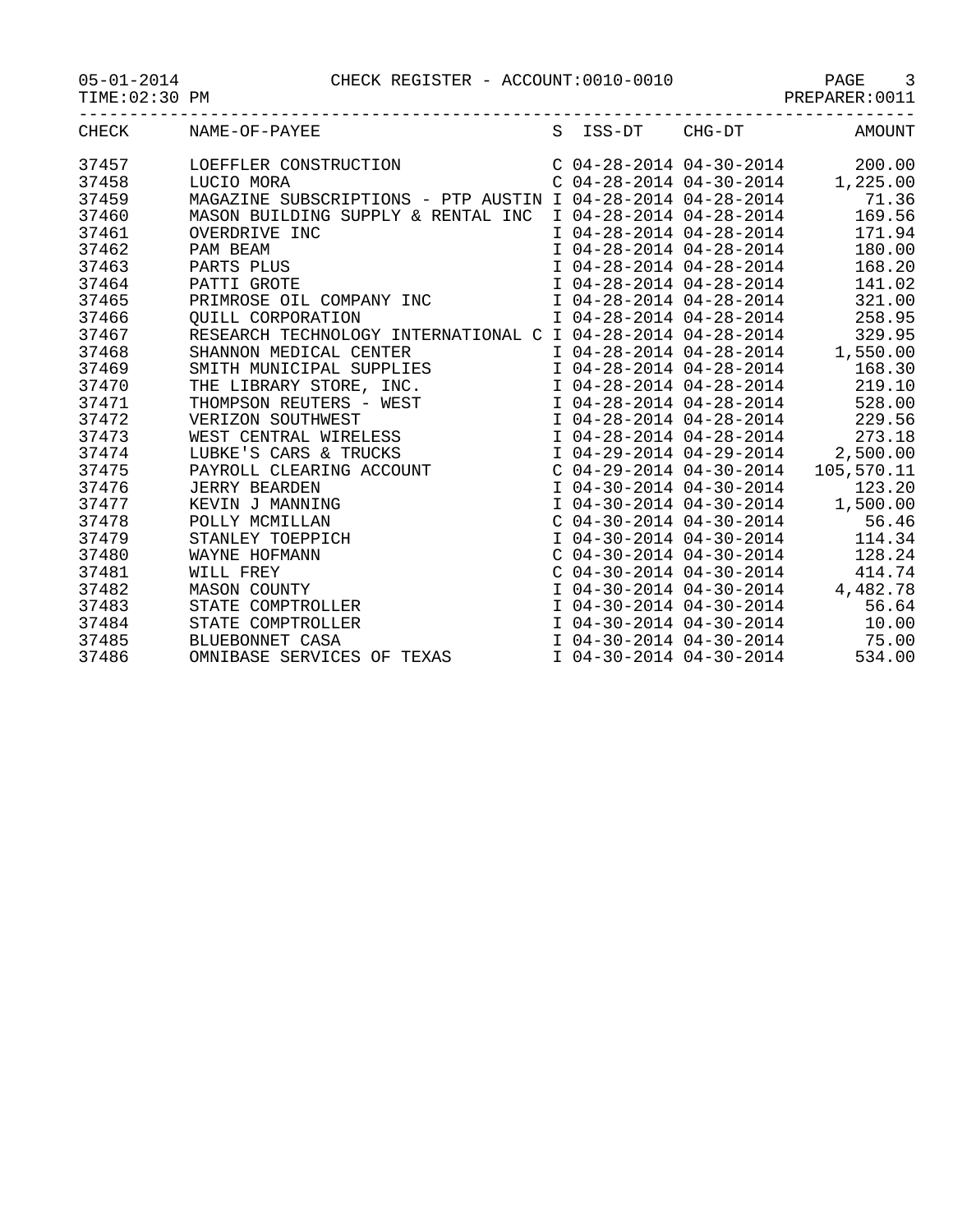PAGE 3<br>PREPARER:0011

|       | CHECK NAME-OF-PAYEE                                                                                                                                                                                                                                                |  |                           | S ISS-DT CHG-DT AMOUNT                                             |
|-------|--------------------------------------------------------------------------------------------------------------------------------------------------------------------------------------------------------------------------------------------------------------------|--|---------------------------|--------------------------------------------------------------------|
|       |                                                                                                                                                                                                                                                                    |  |                           |                                                                    |
| 37457 |                                                                                                                                                                                                                                                                    |  |                           |                                                                    |
| 37458 |                                                                                                                                                                                                                                                                    |  |                           |                                                                    |
| 37459 | MAGAZINE SUBSCRIPTIONS - PTP AUSTIN I 04-28-2014 04-28-2014 71.36                                                                                                                                                                                                  |  |                           |                                                                    |
| 37460 | MASON BUILDING SUPPLY & RENTAL INC I 04-28-2014 04-28-2014 169.56                                                                                                                                                                                                  |  |                           |                                                                    |
| 37461 | OVERDRIVE INC                                                                                                                                                                                                                                                      |  | I 04-28-2014 04-28-2014   | 171.94                                                             |
| 37462 | 0VERDRIVE INC<br>PAM BEAM<br>PAM BEAM<br>PARTS PLUS<br>PATTI GROTE<br>PATTI GROTE<br>PATTI GROTE<br>PATTI GROTE<br>PATTI GROTE<br>PATTI GROTE<br>DA-28-2014<br>DA-28-2014<br>DA-28-2014<br>DA-28-2014<br>DA-28-2014<br>DA-28-2014<br>DA-28-2014<br>DA-28-2014<br>2 |  |                           |                                                                    |
| 37463 |                                                                                                                                                                                                                                                                    |  |                           |                                                                    |
| 37464 | PATTI GROTE                                                                                                                                                                                                                                                        |  |                           |                                                                    |
| 37465 |                                                                                                                                                                                                                                                                    |  |                           |                                                                    |
| 37466 |                                                                                                                                                                                                                                                                    |  |                           |                                                                    |
| 37467 | RESEARCH TECHNOLOGY INTERNATIONAL C I 04-28-2014 04-28-2014 329.95                                                                                                                                                                                                 |  |                           |                                                                    |
| 37468 | SHANNON MEDICAL CENTER                                                                                                                                                                                                                                             |  |                           | I 04-28-2014 04-28-2014 1,550.00                                   |
| 37469 | SHANNON MEDICAL CENTER<br>SMITH MUNICIPAL SUPPLIES<br>THE LIBRARY STORE, INC.                                                                                                                                                                                      |  |                           | $104-28-2014$ $04-28-2014$ $168.30$                                |
| 37470 |                                                                                                                                                                                                                                                                    |  |                           | I 04-28-2014 04-28-2014 219.10                                     |
| 37471 |                                                                                                                                                                                                                                                                    |  |                           | I 04-28-2014 04-28-2014 528.00                                     |
| 37472 | THOMPSON REUTERS - WEST<br>VERIZON SOUTHWEST<br>WEST CENTRAL WIRELESS                                                                                                                                                                                              |  |                           | I 04-28-2014 04-28-2014 229.56                                     |
| 37473 |                                                                                                                                                                                                                                                                    |  |                           | 1 04-28-2014 04-28-2014 273.18<br>1 04-29-2014 04-29-2014 2,500.00 |
| 37474 | LUBKE'S CARS & TRUCKS                                                                                                                                                                                                                                              |  |                           |                                                                    |
| 37475 |                                                                                                                                                                                                                                                                    |  |                           | $C$ 04-29-2014 04-30-2014 105,570.11                               |
| 37476 |                                                                                                                                                                                                                                                                    |  |                           | I 04-30-2014 04-30-2014 123.20                                     |
| 37477 |                                                                                                                                                                                                                                                                    |  |                           | $104-30-2014$ $04-30-2014$ $1,500.00$<br>$1,600.00$                |
| 37478 |                                                                                                                                                                                                                                                                    |  |                           | $C$ 04-30-2014 04-30-2014 56.46                                    |
| 37479 | LUBRE'S CARS & IRUCRS<br>PAYROLL CLEARING ACCOUNT<br>JERRY BEARDEN<br>KEVIN J MANNING<br>POLLY MCMILLAN<br>STANLEY TOEPPICH<br>WAYNE HOFMANN<br>WILL FREY<br>MASON COUNTY<br>STATE COMPTPOLLER                                                                     |  |                           | I 04-30-2014 04-30-2014 114.34                                     |
| 37480 |                                                                                                                                                                                                                                                                    |  |                           | C 04-30-2014 04-30-2014 128.24<br>C 04-30-2014 04-30-2014 414.74   |
| 37481 |                                                                                                                                                                                                                                                                    |  |                           |                                                                    |
| 37482 |                                                                                                                                                                                                                                                                    |  |                           | I 04-30-2014 04-30-2014 4,482.78                                   |
| 37483 | STATE COMPTROLLER                                                                                                                                                                                                                                                  |  | I 04-30-2014 04-30-2014   | 56.64                                                              |
| 37484 | STATE COMPTROLLER                                                                                                                                                                                                                                                  |  | $I$ 04-30-2014 04-30-2014 | 10.00                                                              |
| 37485 | BLUEBONNET CASA                                                                                                                                                                                                                                                    |  |                           | I 04-30-2014 04-30-2014 75.00                                      |
| 37486 | OMNIBASE SERVICES OF TEXAS                                                                                                                                                                                                                                         |  | I 04-30-2014 04-30-2014   | 534.00                                                             |